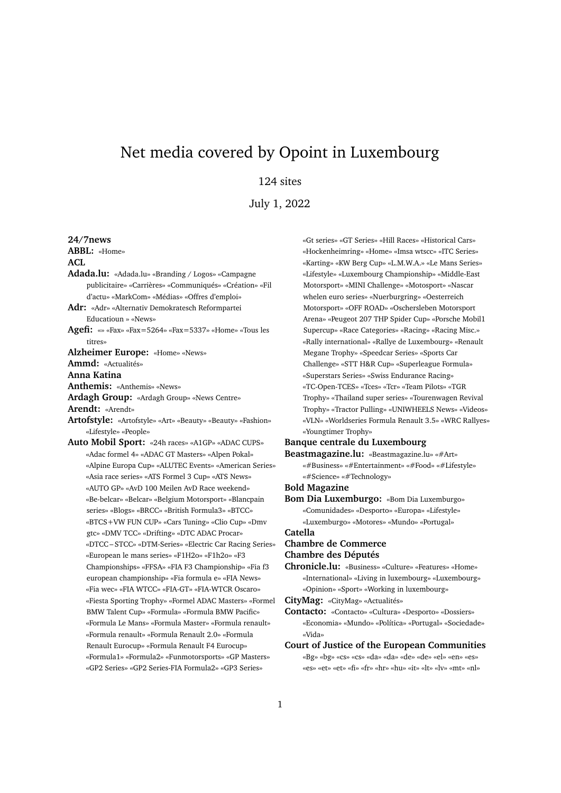# Net media covered by Opoint in Luxembourg

# 124 sites

July 1, 2022

**24/7news ABBL:** «Home» **ACL Adada.lu:** «Adada.lu» «Branding / Logos» «Campagne publicitaire» «Carrières» «Communiqués» «Création» «Fil d'actu» «MarkCom» «Médias» «Offres d'emploi» **Adr:** «Adr» «Alternativ Demokratesch Reformpartei Educatioun » «News» **Agefi:** «» «Fax» «Fax=5264» «Fax=5337» «Home» «Tous les titres» **Alzheimer Europe:** «Home» «News» **Ammd:** «Actualités» **Anna Katina Anthemis:** «Anthemis» «News» **Ardagh Group:** «Ardagh Group» «News Centre» **Arendt:** «Arendt» **Artofstyle:** «Artofstyle» «Art» «Beauty» «Beauty» «Fashion» «Lifestyle» «People» **Auto Mobil Sport:** «24h races» «A1GP» «ADAC CUPS» «Adac formel 4» «ADAC GT Masters» «Alpen Pokal» «Alpine Europa Cup» «ALUTEC Events» «American Series» «Asia race series» «ATS Formel 3 Cup» «ATS News» «AUTO GP» «AvD 100 Meilen AvD Race weekend» «Be-belcar» «Belcar» «Belgium Motorsport» «Blancpain series» «Blogs» «BRCC» «British Formula3» «BTCC» «BTCS+VW FUN CUP» «Cars Tuning» «Clio Cup» «Dmv gtc» «DMV TCC» «Drifting» «DTC ADAC Procar» «DTCC – STCC» «DTM-Series» «Electric Car Racing Series» «European le mans series» «F1H2o» «F1h2o» «F3 Championships» «FFSA» «FIA F3 Championship» «Fia f3 european championship» «Fia formula e» «FIA News» «Fia wec» «FIA WTCC» «FIA-GT» «FIA-WTCR Oscaro» «Fiesta Sporting Trophy» «Formel ADAC Masters» «Formel BMW Talent Cup» «Formula» «Formula BMW Pacific» «Formula Le Mans» «Formula Master» «Formula renault» «Formula renault» «Formula Renault 2.0» «Formula Renault Eurocup» «Formula Renault F4 Eurocup» «Formula1» «Formula2» «Funmotorsports» «GP Masters» «GP2 Series» «GP2 Series-FIA Formula2» «GP3 Series»

«Gt series» «GT Series» «Hill Races» «Historical Cars» «Hockenheimring» «Home» «Imsa wtscc» «ITC Series» «Karting» «KW Berg Cup» «L.M.W.A.» «Le Mans Series» «Lifestyle» «Luxembourg Championship» «Middle-East Motorsport» «MINI Challenge» «Motosport» «Nascar whelen euro series» «Nuerburgring» «Oesterreich Motorsport» «OFF ROAD» «Oschersleben Motorsport Arena» «Peugeot 207 THP Spider Cup» «Porsche Mobil1 Supercup» «Race Categories» «Racing» «Racing Misc.» «Rally international» «Rallye de Luxembourg» «Renault Megane Trophy» «Speedcar Series» «Sports Car Challenge» «STT H&R Cup» «Superleague Formula» «Superstars Series» «Swiss Endurance Racing» «TC-Open-TCES» «Tces» «Tcr» «Team Pilots» «TGR Trophy» «Thailand super series» «Tourenwagen Revival Trophy» «Tractor Pulling» «UNIWHEELS News» «Videos» «VLN» «Worldseries Formula Renault 3.5» «WRC Rallyes» «Youngtimer Trophy»

## **Banque centrale du Luxembourg**

**Beastmagazine.lu:** «Beastmagazine.lu» «#Art» «#Business» «#Entertainment» «#Food» «#Lifestyle» «#Science» «#Technology»

#### **Bold Magazine**

**Bom Dia Luxemburgo:** «Bom Dia Luxemburgo» «Comunidades» «Desporto» «Europa» «Lifestyle» «Luxemburgo» «Motores» «Mundo» «Portugal» **Catella**

### **Chambre de Commerce Chambre des Députés**

**Chronicle.lu:** «Business» «Culture» «Features» «Home» «International» «Living in luxembourg» «Luxembourg» «Opinion» «Sport» «Working in luxembourg»

**CityMag:** «CityMag» «Actualités»

- **Contacto:** «Contacto» «Cultura» «Desporto» «Dossiers» «Economia» «Mundo» «Política» «Portugal» «Sociedade» «Vida»
- **Court of Justice of the European Communities** «Bg» «bg» «cs» «cs» «da» «da» «de» «de» «el» «en» «es» «es» «et» «et» «fi» «fr» «hr» «hu» «it» «lt» «lv» «mt» «nl»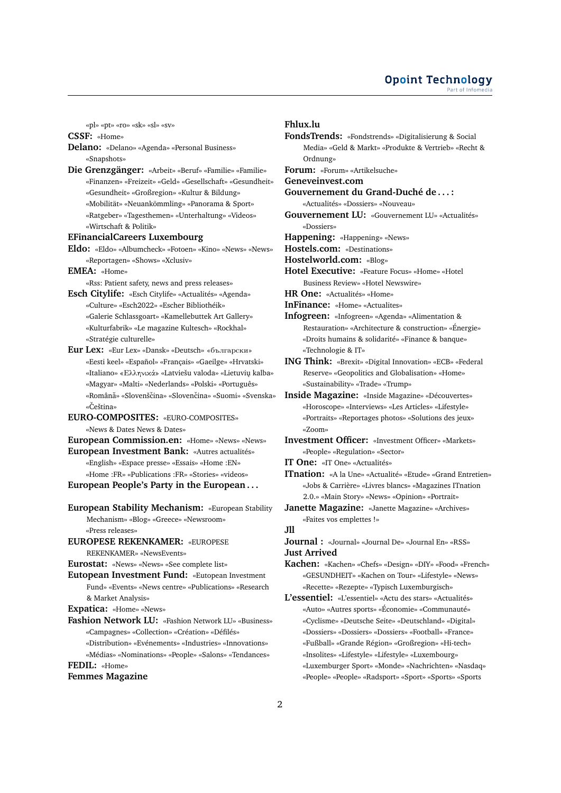«pl» «pt» «ro» «sk» «sl» «sv»

**CSSF:** «Home»

- **Delano:** «Delano» «Agenda» «Personal Business» «Snapshots»
- **Die Grenzgänger:** «Arbeit» «Beruf» «Familie» «Familie» «Finanzen» «Freizeit» «Geld» «Gesellschaft» «Gesundheit» «Gesundheit» «Großregion» «Kultur & Bildung»
	- «Mobilität» «Neuankömmling» «Panorama & Sport» «Ratgeber» «Tagesthemen» «Unterhaltung» «Videos» «Wirtschaft & Politik»

#### **EFinancialCareers Luxembourg**

- **Eldo:** «Eldo» «Albumcheck» «Fotoen» «Kino» «News» «News» «Reportagen» «Shows» «Xclusiv»
- **EMEA:** «Home»
	- «Rss: Patient safety, news and press releases»
- **Esch Citylife:** «Esch Citylife» «Actualités» «Agenda» «Culture» «Esch2022» «Escher Bibliothéik» «Galerie Schlassgoart» «Kamellebuttek Art Gallery» «Kulturfabrik» «Le magazine Kultesch» «Rockhal» «Stratégie culturelle»
- **Eur Lex:** «Eur Lex» «Dansk» «Deutsch» «български» «Eesti keel» «Español» «Français» «Gaeilge» «Hrvatski» «Italiano» «Ελληνικά» «Latviešu valoda» «Lietuviu˛ kalba» «Magyar» «Malti» «Nederlands» «Polski» «Português» «Română» «Slovenščina» «Slovenčina» «Suomi» «Svenska» «Čeština»

**EURO-COMPOSITES:** «EURO-COMPOSITES» «News & Dates News & Dates»

**European Commission.en:** «Home» «News» «News»

- **European Investment Bank:** «Autres actualités» «English» «Espace presse» «Essais» «Home :EN» «Home :FR» «Publications :FR» «Stories» «videos» **European People's Party in the European . . .**
- **European Stability Mechanism:** «European Stability Mechanism» «Blog» «Greece» «Newsroom» «Press releases»
- **EUROPESE REKENKAMER:** «EUROPESE REKENKAMER» «NewsEvents»

**Eurostat:** «News» «News» «See complete list»

- **Eutopean Investment Fund:** «Eutopean Investment Fund» «Events» «News centre» «Publications» «Research & Market Analysis»
- **Expatica:** «Home» «News»
- **Fashion Network LU:** «Fashion Network LU» «Business» «Campagnes» «Collection» «Création» «Défilés»

«Distribution» «Evénements» «Industries» «Innovations» «Médias» «Nominations» «People» «Salons» «Tendances» **FEDIL:** «Home»

#### **Femmes Magazine**

#### **Fhlux.lu**

- **FondsTrends:** «Fondstrends» «Digitalisierung & Social Media» «Geld & Markt» «Produkte & Vertrieb» «Recht & Ordnung» **Forum:** «Forum» «Artikelsuche» **Geneveinvest.com Gouvernement du Grand-Duché de . . . :** «Actualités» «Dossiers» «Nouveau» **Gouvernement LU:** «Gouvernement LU» «Actualités» «Dossiers» **Happening:** «Happening» «News» **Hostels.com:** «Destinations» **Hostelworld.com:** «Blog» **Hotel Executive:** «Feature Focus» «Home» «Hotel Business Review» «Hotel Newswire» **HR One:** «Actualités» «Home» **InFinance:** «Home» «Actualites» **Infogreen:** «Infogreen» «Agenda» «Alimentation & Restauration» «Architecture & construction» «Énergie» «Droits humains & solidarité» «Finance & banque» «Technologie & IT» **ING Think:** «Brexit» «Digital Innovation» «ECB» «Federal Reserve» «Geopolitics and Globalisation» «Home» «Sustainability» «Trade» «Trump» **Inside Magazine:** «Inside Magazine» «Découvertes» «Horoscope» «Interviews» «Les Articles» «Lifestyle» «Portraits» «Reportages photos» «Solutions des jeux» «Zoom» **Investment Officer:** «Investment Officer» «Markets» «People» «Regulation» «Sector» **IT One:** «IT One» «Actualités»
- **ITnation:** «A la Une» «Actualité» «Etude» «Grand Entretien» «Jobs & Carrière» «Livres blancs» «Magazines ITnation 2.0.» «Main Story» «News» «Opinion» «Portrait»
- **Janette Magazine:** «Janette Magazine» «Archives» «Faites vos emplettes !»

# **Jll**

- **Journal :** «Journal» «Journal De» «Journal En» «RSS» **Just Arrived**
- **Kachen:** «Kachen» «Chefs» «Design» «DIY» «Food» «French» «GESUNDHEIT» «Kachen on Tour» «Lifestyle» «News» «Recette» «Rezepte» «Typisch Luxemburgisch»
- **L'essentiel:** «L'essentiel» «Actu des stars» «Actualités» «Auto» «Autres sports» «Économie» «Communauté» «Cyclisme» «Deutsche Seite» «Deutschland» «Digital» «Dossiers» «Dossiers» «Dossiers» «Football» «France» «Fußball» «Grande Région» «Großregion» «Hi-tech» «Insolites» «Lifestyle» «Lifestyle» «Luxembourg» «Luxemburger Sport» «Monde» «Nachrichten» «Nasdaq» «People» «People» «Radsport» «Sport» «Sports» «Sports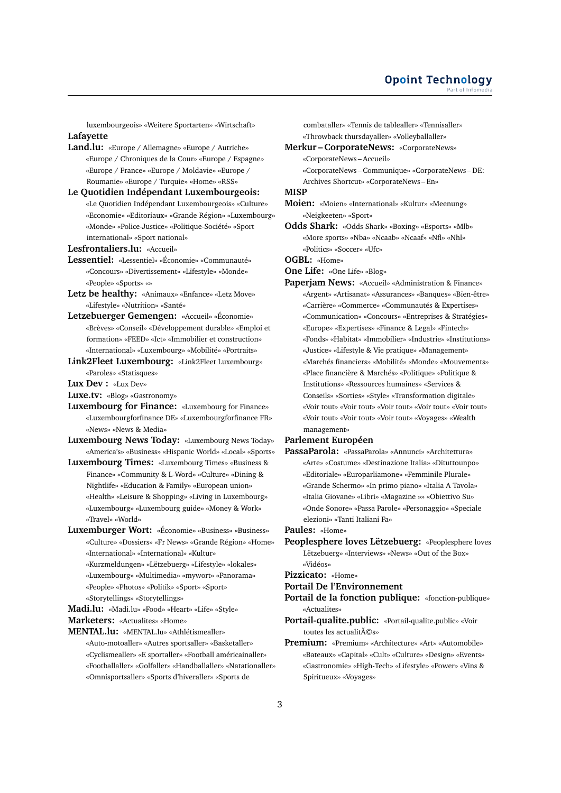luxembourgeois» «Weitere Sportarten» «Wirtschaft» **Lafayette**

- **Land.lu:** «Europe / Allemagne» «Europe / Autriche» «Europe / Chroniques de la Cour» «Europe / Espagne» «Europe / France» «Europe / Moldavie» «Europe / Roumanie» «Europe / Turquie» «Home» «RSS»
- **Le Quotidien Indépendant Luxembourgeois:** «Le Quotidien Indépendant Luxembourgeois» «Culture» «Economie» «Editoriaux» «Grande Région» «Luxembourg» «Monde» «Police-Justice» «Politique-Société» «Sport international» «Sport national»
- **Lesfrontaliers.lu:** «Accueil»
- **Lessentiel:** «Lessentiel» «Économie» «Communauté» «Concours» «Divertissement» «Lifestyle» «Monde» «People» «Sports» «»
- **Letz be healthy:** «Animaux» «Enfance» «Letz Move» «Lifestyle» «Nutrition» «Santé»
- **Letzebuerger Gemengen:** «Accueil» «Économie» «Brèves» «Conseil» «Développement durable» «Emploi et formation» «FEED» «Ict» «Immobilier et construction» «International» «Luxembourg» «Mobilité» «Portraits»
- **Link2Fleet Luxembourg:** «Link2Fleet Luxembourg» «Paroles» «Statisques»

#### **Lux Dev :** «Lux Dev»

- **Luxe.tv:** «Blog» «Gastronomy»
- **Luxembourg for Finance:** «Luxembourg for Finance» «Luxembourgforfinance DE» «Luxembourgforfinance FR» «News» «News & Media»
- **Luxembourg News Today:** «Luxembourg News Today» «America's» «Business» «Hispanic World» «Local» «Sports»
- **Luxembourg Times:** «Luxembourg Times» «Business & Finance» «Community & L-Word» «Culture» «Dining & Nightlife» «Education & Family» «European union» «Health» «Leisure & Shopping» «Living in Luxembourg» «Luxembourg» «Luxembourg guide» «Money & Work» «Travel» «World»
- **Luxemburger Wort:** «Économie» «Business» «Business» «Culture» «Dossiers» «Fr News» «Grande Région» «Home» «International» «International» «Kultur» «Kurzmeldungen» «Lëtzebuerg» «Lifestyle» «lokales» «Luxembourg» «Multimedia» «mywort» «Panorama» «People» «Photos» «Politik» «Sport» «Sport» «Storytellings» «Storytellings»
- **Madi.lu:** «Madi.lu» «Food» «Heart» «Life» «Style»
- **Marketers:** «Actualites» «Home»
- **MENTAL.lu:** «MENTAL.lu» «Athlétismealler» «Auto-motoaller» «Autres sportsaller» «Basketaller» «Cyclismealler» «E sportaller» «Football américainaller» «Footballaller» «Golfaller» «Handballaller» «Natationaller» «Omnisportsaller» «Sports d'hiveraller» «Sports de

combataller» «Tennis de tablealler» «Tennisaller» «Throwback thursdayaller» «Volleyballaller»

- **Merkur CorporateNews:** «CorporateNews» «CorporateNews – Accueil» «CorporateNews – Communique» «CorporateNews – DE:
	- Archives Shortcut» «CorporateNews En»

#### **MISP**

- **Moien:** «Moien» «International» «Kultur» «Meenung» «Neigkeeten» «Sport»
- **Odds Shark:** «Odds Shark» «Boxing» «Esports» «Mlb» «More sports» «Nba» «Ncaab» «Ncaaf» «Nfl» «Nhl» «Politics» «Soccer» «Ufc»

**OGBL:** «Home»

- **One Life:** «One Life» «Blog»
- **Paperjam News:** «Accueil» «Administration & Finance» «Argent» «Artisanat» «Assurances» «Banques» «Bien-être» «Carrière» «Commerce» «Communautés & Expertises» «Communication» «Concours» «Entreprises & Stratégies» «Europe» «Expertises» «Finance & Legal» «Fintech» «Fonds» «Habitat» «Immobilier» «Industrie» «Institutions» «Justice» «Lifestyle & Vie pratique» «Management» «Marchés financiers» «Mobilité» «Monde» «Mouvements» «Place financière & Marchés» «Politique» «Politique & Institutions» «Ressources humaines» «Services & Conseils» «Sorties» «Style» «Transformation digitale» «Voir tout» «Voir tout» «Voir tout» «Voir tout» «Voir tout» «Voir tout» «Voir tout» «Voir tout» «Voyages» «Wealth management»

#### **Parlement Européen**

**PassaParola:** «PassaParola» «Annunci» «Architettura» «Arte» «Costume» «Destinazione Italia» «Dituttounpo» «Editoriale» «Europarliamone» «Femminile Plurale» «Grande Schermo» «In primo piano» «Italia A Tavola» «Italia Giovane» «Libri» «Magazine »» «Obiettivo Su» «Onde Sonore» «Passa Parole» «Personaggio» «Speciale elezioni» «Tanti Italiani Fa»

**Paules:** «Home»

**Peoplesphere loves Lëtzebuerg:** «Peoplesphere loves Lëtzebuerg» «Interviews» «News» «Out of the Box» «Vidéos»

**Pizzicato:** «Home»

#### **Portail De l'Environnement**

- **Portail de la fonction publique:** «fonction-publique» «Actualites»
- **Portail-qualite.public:** «Portail-qualite.public» «Voir toutes les actualit $\tilde{A} \mathbb{C}$ s»
- **Premium:** «Premium» «Architecture» «Art» «Automobile» «Bateaux» «Capital» «Cult» «Culture» «Design» «Events» «Gastronomie» «High-Tech» «Lifestyle» «Power» «Vins & Spiritueux» «Voyages»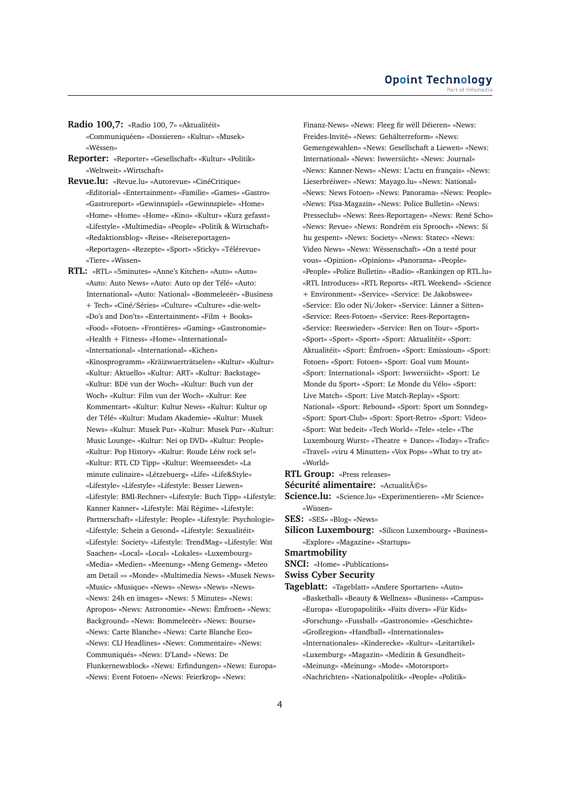- **Radio 100,7:** «Radio 100, 7» «Aktualitéit» «Communiquéen» «Dossieren» «Kultur» «Musek» «Wëssen»
- **Reporter:** «Reporter» «Gesellschaft» «Kultur» «Politik» «Weltweit» «Wirtschaft»
- **Revue.lu:** «Revue.lu» «Autorevue» «CinéCritique» «Editorial» «Entertainment» «Familie» «Games» «Gastro» «Gastroreport» «Gewinnspiel» «Gewinnspiele» «Home» «Home» «Home» «Home» «Kino» «Kultur» «Kurz gefasst» «Lifestyle» «Multimedia» «People» «Politik & Wirtschaft» «Redaktionsblog» «Reise» «Reisereportagen» «Reportagen» «Rezepte» «Sport» «Sticky» «Télérevue» «Tiere» «Wissen»
- **RTL:** «RTL» «5minutes» «Anne's Kitchen» «Auto» «Auto» «Auto: Auto News» «Auto: Auto op der Télé» «Auto: International» «Auto: National» «Bommeleeër» «Business + Tech» «Ciné/Séries» «Culture» «Culture» «die-welt» «Do's and Don'ts» «Entertainment» «Film + Books» «Food» «Fotoen» «Frontières» «Gaming» «Gastronomie» «Health + Fitness» «Home» «International» «International» «International» «Kichen» «Kinosprogramm» «Kräizwuerträtselen» «Kultur» «Kultur» «Kultur: Aktuello» «Kultur: ART» «Kultur: Backstage» «Kultur: BDë vun der Woch» «Kultur: Buch vun der Woch» «Kultur: Film vun der Woch» «Kultur: Kee Kommentart» «Kultur: Kultur News» «Kultur: Kultur op der Télé» «Kultur: Mudam Akademie» «Kultur: Musek News» «Kultur: Musek Pur» «Kultur: Musek Pur» «Kultur: Music Lounge» «Kultur: Nei op DVD» «Kultur: People» «Kultur: Pop History» «Kultur: Roude Léiw rock se!» «Kultur: RTL CD Tipp» «Kultur: Weemseesdet» «La minute culinaire» «Lëtzebuerg» «Life» «Life&Style» «Lifestyle» «Lifestyle» «Lifestyle: Besser Liewen» «Lifestyle: BMI-Rechner» «Lifestyle: Buch Tipp» «Lifestyle: Kanner Kanner» «Lifestyle: Mäi Régime» «Lifestyle: Partnerschaft» «Lifestyle: People» «Lifestyle: Psychologie» «Lifestyle: Schein a Gesond» «Lifestyle: Sexualitéit» «Lifestyle: Society» «Lifestyle: TrendMag» «Lifestyle: Wat Saachen» «Local» «Local» «Lokales» «Luxembourg» «Media» «Medien» «Meenung» «Meng Gemeng» «Meteo am Detail »» «Monde» «Multimedia News» «Musek News» «Music» «Musique» «News» «News» «News» «News» «News: 24h en images» «News: 5 Minutes» «News: Apropos» «News: Astronomie» «News: Ëmfroen» «News: Background» «News: Bommeleeër» «News: Bourse» «News: Carte Blanche» «News: Carte Blanche Eco» «News: CIJ Headlines» «News: Commentaire» «News: Communiqués» «News: D'Land» «News: De Flunkernewsblock» «News: Erfindungen» «News: Europa» «News: Event Fotoen» «News: Feierkrop» «News:

Finanz-News» «News: Fleeg fir wëll Déieren» «News: Freides-Invité» «News: Gehälterreform» «News: Gemengewahlen» «News: Gesellschaft a Liewen» «News: International» «News: Iwwersiicht» «News: Journal» «News: Kanner-News» «News: L'actu en français» «News: Lieserbréiwer» «News: Mayago.lu» «News: National» «News: News Fotoen» «News: Panorama» «News: People» «News: Pisa-Magazin» «News: Police Bulletin» «News: Presseclub» «News: Rees-Reportagen» «News: René Scho» «News: Revue» «News: Rondrëm eis Sprooch» «News: Si hu gespent» «News: Society» «News: Statec» «News: Video News» «News: Wëssenschaft» «On a testé pour vous» «Opinion» «Opinions» «Panorama» «People» «People» «Police Bulletin» «Radio» «Rankingen op RTL.lu» «RTL Introduces» «RTL Reports» «RTL Weekend» «Science + Environment» «Service» «Service: De Jakobswee» «Service: Elo oder Ni/Joker» «Service: Länner a Sitten» «Service: Rees-Fotoen» «Service: Rees-Reportagen» «Service: Reeswieder» «Service: Ren on Tour» «Sport» «Sport» «Sport» «Sport» «Sport: Aktualitéit» «Sport: Aktualitéit» «Sport: Ëmfroen» «Sport: Emissioun» «Sport: Fotoen» «Sport: Fotoen» «Sport: Goal vum Mount» «Sport: International» «Sport: Iwwersiicht» «Sport: Le Monde du Sport» «Sport: Le Monde du Vélo» «Sport: Live Match» «Sport: Live Match-Replay» «Sport: National» «Sport: Rebound» «Sport: Sport um Sonndeg» «Sport: Sport-Club» «Sport: Sport-Retro» «Sport: Video» «Sport: Wat bedeit» «Tech World» «Tele» «tele» «The Luxembourg Wurst» «Theatre + Dance» «Today» «Trafic» «Travel» «viru 4 Minutten» «Vox Pops» «What to try at» «World»

**RTL Group:** «Press releases»

**Sécurité alimentaire:** «Actualités»

**Science.lu:** «Science.lu» «Experimentieren» «Mr Science» «Wissen»

**SES:** «SES» «Blog» «News»

**Silicon Luxembourg:** «Silicon Luxembourg» «Business» «Explore» «Magazine» «Startups»

**Smartmobility**

**SNCI:** «Home» «Publications»

**Swiss Cyber Security**

**Tageblatt:** «Tageblatt» «Andere Sportarten» «Auto» «Basketball» «Beauty & Wellness» «Business» «Campus» «Europa» «Europapolitik» «Faits divers» «Für Kids» «Forschung» «Fussball» «Gastronomie» «Geschichte» «Großregion» «Handball» «Internationales» «Internationales» «Kinderecke» «Kultur» «Leitartikel» «Luxemburg» «Magazin» «Medizin & Gesundheit» «Meinung» «Meinung» «Mode» «Motorsport» «Nachrichten» «Nationalpolitik» «People» «Politik»